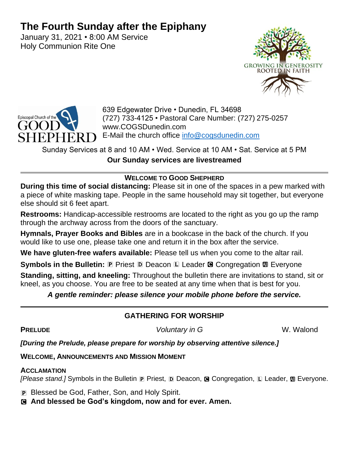# **The Fourth Sunday after the Epiphany**

January 31, 2021 • 8:00 AM Service Holy Communion Rite One





639 Edgewater Drive • Dunedin, FL 34698 (727) 733-4125 • Pastoral Care Number: (727) 275-0257 www.COGSDunedin.com E-Mail the church office [info@cogsdunedin.com](mailto:info@cogsdunedin.com)

Sunday Services at 8 and 10 AM • Wed. Service at 10 AM • Sat. Service at 5 PM **Our Sunday services are livestreamed**

#### **WELCOME TO GOOD SHEPHERD**

**During this time of social distancing:** Please sit in one of the spaces in a pew marked with a piece of white masking tape. People in the same household may sit together, but everyone else should sit 6 feet apart.

**Restrooms:** Handicap-accessible restrooms are located to the right as you go up the ramp through the archway across from the doors of the sanctuary.

**Hymnals, Prayer Books and Bibles** are in a bookcase in the back of the church. If you would like to use one, please take one and return it in the box after the service.

**We have gluten-free wafers available:** Please tell us when you come to the altar rail.

**Symbols in the Bulletin: P** Priest **D** Deacon **L** Leader **G** Congregation **M** Everyone

**Standing, sitting, and kneeling:** Throughout the bulletin there are invitations to stand, sit or kneel, as you choose. You are free to be seated at any time when that is best for you.

#### *A gentle reminder: please silence your mobile phone before the service.*

# **GATHERING FOR WORSHIP**

**PRELUDE** *Voluntary in G* W. Walond

#### *[During the Prelude, please prepare for worship by observing attentive silence.]*

**WELCOME, ANNOUNCEMENTS AND MISSION MOMENT**

#### **ACCLAMATION**

*[Please stand.]* Symbols in the Bulletin **P** Priest, **D** Deacon, **G** Congregation, **L** Leader, **M** Everyone.

P Blessed be God, Father, Son, and Holy Spirit.

C **And blessed be God's kingdom, now and for ever. Amen.**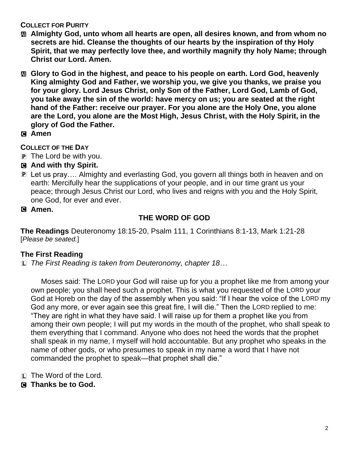**COLLECT FOR PURITY**

- a **Almighty God, unto whom all hearts are open, all desires known, and from whom no secrets are hid. Cleanse the thoughts of our hearts by the inspiration of thy Holy Spirit, that we may perfectly love thee, and worthily magnify thy holy Name; through Christ our Lord. Amen.**
- a **Glory to God in the highest, and peace to his people on earth. Lord God, heavenly King almighty God and Father, we worship you, we give you thanks, we praise you for your glory. Lord Jesus Christ, only Son of the Father, Lord God, Lamb of God, you take away the sin of the world: have mercy on us; you are seated at the right hand of the Father: receive our prayer. For you alone are the Holy One, you alone are the Lord, you alone are the Most High, Jesus Christ, with the Holy Spirit, in the glory of God the Father.**
- C **Amen**

**COLLECT OF THE DAY**

- $\overline{p}$  The Lord be with you.
- C **And with thy Spirit.**
- P Let us pray…. Almighty and everlasting God, you govern all things both in heaven and on earth: Mercifully hear the supplications of your people, and in our time grant us your peace; through Jesus Christ our Lord, who lives and reigns with you and the Holy Spirit, one God, for ever and ever.
- C **Amen.**

# **THE WORD OF GOD**

**The Readings** Deuteronomy 18:15-20, Psalm 111, 1 Corinthians 8:1-13, Mark 1:21-28 [*Please be seated.*]

#### **The First Reading**

L *The First Reading is taken from Deuteronomy, chapter 18…*

Moses said: The LORD your God will raise up for you a prophet like me from among your own people; you shall heed such a prophet. This is what you requested of the LORD your God at Horeb on the day of the assembly when you said: "If I hear the voice of the LORD my God any more, or ever again see this great fire, I will die." Then the LORD replied to me: "They are right in what they have said. I will raise up for them a prophet like you from among their own people; I will put my words in the mouth of the prophet, who shall speak to them everything that I command. Anyone who does not heed the words that the prophet shall speak in my name, I myself will hold accountable. But any prophet who speaks in the name of other gods, or who presumes to speak in my name a word that I have not commanded the prophet to speak—that prophet shall die."

- L The Word of the Lord.
- C **Thanks be to God.**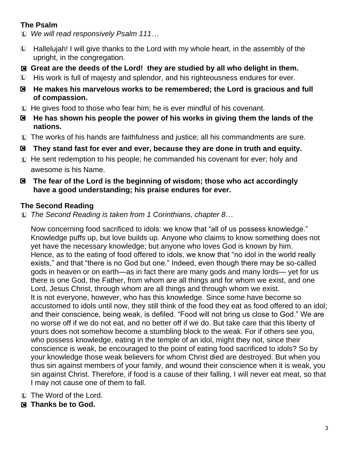#### **The Psalm**

- L *We will read responsively Psalm 111…*
- L Hallelujah! I will give thanks to the Lord with my whole heart, in the assembly of the upright, in the congregation.
- C **Great are the deeds of the Lord! they are studied by all who delight in them.**
- L His work is full of majesty and splendor, and his righteousness endures for ever.
- C **He makes his marvelous works to be remembered; the Lord is gracious and full of compassion.**
- L He gives food to those who fear him; he is ever mindful of his covenant.
- C **He has shown his people the power of his works in giving them the lands of the nations.**
- L The works of his hands are faithfulness and justice; all his commandments are sure.
- C **They stand fast for ever and ever, because they are done in truth and equity.**
- $\Box$  He sent redemption to his people; he commanded his covenant for ever; holy and awesome is his Name.
- C **The fear of the Lord is the beginning of wisdom; those who act accordingly have a good understanding; his praise endures for ever.**

#### **The Second Reading**

L *The Second Reading is taken from 1 Corinthians, chapter 8…*

Now concerning food sacrificed to idols: we know that "all of us possess knowledge." Knowledge puffs up, but love builds up. Anyone who claims to know something does not yet have the necessary knowledge; but anyone who loves God is known by him. Hence, as to the eating of food offered to idols, we know that "no idol in the world really exists," and that "there is no God but one." Indeed, even though there may be so-called gods in heaven or on earth—as in fact there are many gods and many lords— yet for us there is one God, the Father, from whom are all things and for whom we exist, and one Lord, Jesus Christ, through whom are all things and through whom we exist. It is not everyone, however, who has this knowledge. Since some have become so accustomed to idols until now, they still think of the food they eat as food offered to an idol; and their conscience, being weak, is defiled. "Food will not bring us close to God." We are no worse off if we do not eat, and no better off if we do. But take care that this liberty of yours does not somehow become a stumbling block to the weak. For if others see you, who possess knowledge, eating in the temple of an idol, might they not, since their conscience is weak, be encouraged to the point of eating food sacrificed to idols? So by your knowledge those weak believers for whom Christ died are destroyed. But when you thus sin against members of your family, and wound their conscience when it is weak, you sin against Christ. Therefore, if food is a cause of their falling, I will never eat meat, so that I may not cause one of them to fall.

- $\Box$  The Word of the Lord.
- C **Thanks be to God.**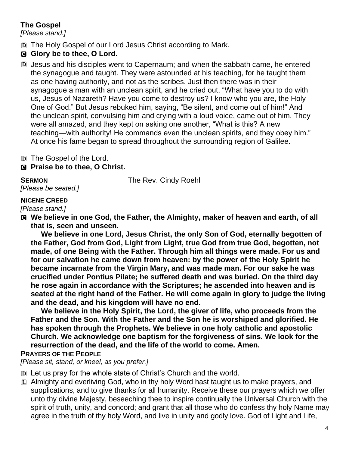### **The Gospel**

*[Please stand.]*

- D The Holy Gospel of our Lord Jesus Christ according to Mark.
- G Glory be to thee, O Lord.
- D Jesus and his disciples went to Capernaum; and when the sabbath came, he entered the synagogue and taught. They were astounded at his teaching, for he taught them as one having authority, and not as the scribes. Just then there was in their synagogue a man with an unclean spirit, and he cried out, "What have you to do with us, Jesus of Nazareth? Have you come to destroy us? I know who you are, the Holy One of God." But Jesus rebuked him, saying, "Be silent, and come out of him!" And the unclean spirit, convulsing him and crying with a loud voice, came out of him. They were all amazed, and they kept on asking one another, "What is this? A new teaching—with authority! He commands even the unclean spirits, and they obey him." At once his fame began to spread throughout the surrounding region of Galilee.

D The Gospel of the Lord.

C **Praise be to thee, O Christ.**

*[Please be seated.]*

**SERMON** The Rev. Cindy Roehl

#### **NICENE CREED**

*[Please stand.]*

C **We believe in one God, the Father, the Almighty, maker of heaven and earth, of all that is, seen and unseen.** 

**We believe in one Lord, Jesus Christ, the only Son of God, eternally begotten of the Father, God from God, Light from Light, true God from true God, begotten, not made, of one Being with the Father. Through him all things were made. For us and for our salvation he came down from heaven: by the power of the Holy Spirit he became incarnate from the Virgin Mary, and was made man. For our sake he was crucified under Pontius Pilate; he suffered death and was buried. On the third day he rose again in accordance with the Scriptures; he ascended into heaven and is seated at the right hand of the Father. He will come again in glory to judge the living and the dead, and his kingdom will have no end.**

**We believe in the Holy Spirit, the Lord, the giver of life, who proceeds from the Father and the Son. With the Father and the Son he is worshiped and glorified. He has spoken through the Prophets. We believe in one holy catholic and apostolic Church. We acknowledge one baptism for the forgiveness of sins. We look for the resurrection of the dead, and the life of the world to come. Amen.**

#### **PRAYERS OF THE PEOPLE**

*[Please sit, stand, or kneel, as you prefer.]*

- D Let us pray for the whole state of Christ's Church and the world.
- L Almighty and everliving God, who in thy holy Word hast taught us to make prayers, and supplications, and to give thanks for all humanity. Receive these our prayers which we offer unto thy divine Majesty, beseeching thee to inspire continually the Universal Church with the spirit of truth, unity, and concord; and grant that all those who do confess thy holy Name may agree in the truth of thy holy Word, and live in unity and godly love. God of Light and Life,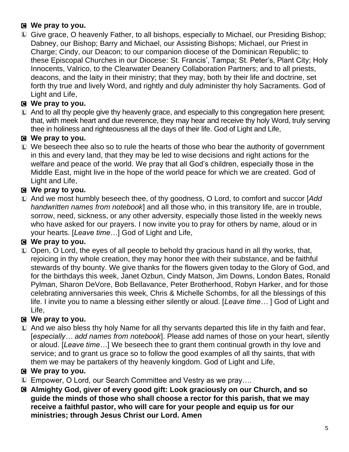# C **We pray to you.**

L Give grace, O heavenly Father, to all bishops, especially to Michael, our Presiding Bishop; Dabney, our Bishop; Barry and Michael, our Assisting Bishops; Michael, our Priest in Charge; Cindy, our Deacon; to our companion diocese of the Dominican Republic; to these Episcopal Churches in our Diocese: St. Francis', Tampa; St. Peter's, Plant City; Holy Innocents, Valrico, to the Clearwater Deanery Collaboration Partners; and to all priests, deacons, and the laity in their ministry; that they may, both by their life and doctrine, set forth thy true and lively Word, and rightly and duly administer thy holy Sacraments. God of Light and Life,

# C **We pray to you.**

 $\Box$  And to all thy people give thy heavenly grace, and especially to this congregation here present; that, with meek heart and due reverence, they may hear and receive thy holy Word, truly serving thee in holiness and righteousness all the days of their life. God of Light and Life,

#### C **We pray to you.**

 $\Box$  We beseech thee also so to rule the hearts of those who bear the authority of government in this and every land, that they may be led to wise decisions and right actions for the welfare and peace of the world. We pray that all God's children, especially those in the Middle East, might live in the hope of the world peace for which we are created. God of Light and Life,

#### C **We pray to you.**

L And we most humbly beseech thee, of thy goodness, O Lord, to comfort and succor [*Add handwritten names from notebook*] and all those who, in this transitory life, are in trouble, sorrow, need, sickness, or any other adversity, especially those listed in the weekly news who have asked for our prayers. I now invite you to pray for others by name, aloud or in your hearts. [*Leave time…*] God of Light and Life,

#### C **We pray to you.**

L Open, O Lord, the eyes of all people to behold thy gracious hand in all thy works, that, rejoicing in thy whole creation, they may honor thee with their substance, and be faithful stewards of thy bounty. We give thanks for the flowers given today to the Glory of God, and for the birthdays this week, Janet Ozbun, Cindy Matson, Jim Downs, London Bates, Ronald Pylman, Sharon DeVore, Bob Bellavance, Peter Brotherhood, Robyn Harker, and for those celebrating anniversaries this week, Chris & Michelle Schombs, for all the blessings of this life. I invite you to name a blessing either silently or aloud. [*Leave time…* ] God of Light and Life,

#### C **We pray to you.**

 $\Box$  And we also bless thy holy Name for all thy servants departed this life in thy faith and fear, [*especially… add names from notebook*]. Please add names of those on your heart, silently or aloud. [*Leave time…*] We beseech thee to grant them continual growth in thy love and service; and to grant us grace so to follow the good examples of all thy saints, that with them we may be partakers of thy heavenly kingdom. God of Light and Life,

#### C **We pray to you.**

- L Empower, O Lord, our Search Committee and Vestry as we pray….
- C **Almighty God, giver of every good gift: Look graciously on our Church, and so guide the minds of those who shall choose a rector for this parish, that we may receive a faithful pastor, who will care for your people and equip us for our ministries; through Jesus Christ our Lord. Amen**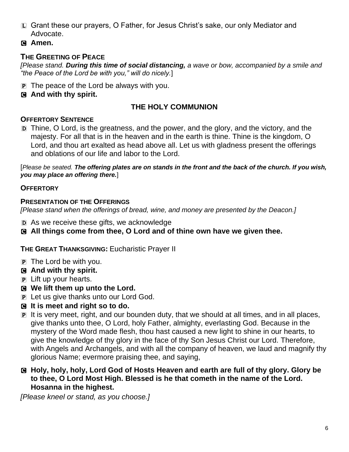- L Grant these our prayers, O Father, for Jesus Christ's sake, our only Mediator and Advocate.
- C **Amen.**

#### **THE GREETING OF PEACE**

*[Please stand. During this time of social distancing, a wave or bow, accompanied by a smile and "the Peace of the Lord be with you," will do nicely.*]

- $\mathbf{P}$  The peace of the Lord be always with you.
- C **And with thy spirit.**

### **THE HOLY COMMUNION**

#### **OFFERTORY SENTENCE**

D Thine, O Lord, is the greatness, and the power, and the glory, and the victory, and the majesty. For all that is in the heaven and in the earth is thine. Thine is the kingdom, O Lord, and thou art exalted as head above all. Let us with gladness present the offerings and oblations of our life and labor to the Lord.

[*Please be seated. The offering plates are on stands in the front and the back of the church. If you wish, you may place an offering there.*]

#### **OFFERTORY**

#### **PRESENTATION OF THE OFFERINGS**

*[Please stand when the offerings of bread, wine, and money are presented by the Deacon.]*

- D As we receive these gifts, we acknowledge
- C **All things come from thee, O Lord and of thine own have we given thee.**

**THE GREAT THANKSGIVING:** Eucharistic Prayer II

- $\overline{P}$  The Lord be with you.
- C **And with thy spirit.**
- P Lift up your hearts.
- C **We lift them up unto the Lord.**
- P Let us give thanks unto our Lord God.
- C **It is meet and right so to do.**
- P It is very meet, right, and our bounden duty, that we should at all times, and in all places, give thanks unto thee, O Lord, holy Father, almighty, everlasting God. Because in the mystery of the Word made flesh, thou hast caused a new light to shine in our hearts, to give the knowledge of thy glory in the face of thy Son Jesus Christ our Lord. Therefore, with Angels and Archangels, and with all the company of heaven, we laud and magnify thy glorious Name; evermore praising thee, and saying,
- C **Holy, holy, holy, Lord God of Hosts Heaven and earth are full of thy glory. Glory be to thee, O Lord Most High. Blessed is he that cometh in the name of the Lord. Hosanna in the highest.**

*[Please kneel or stand, as you choose.]*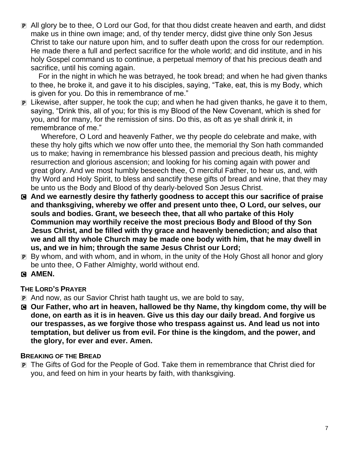P All glory be to thee, O Lord our God, for that thou didst create heaven and earth, and didst make us in thine own image; and, of thy tender mercy, didst give thine only Son Jesus Christ to take our nature upon him, and to suffer death upon the cross for our redemption. He made there a full and perfect sacrifice for the whole world; and did institute, and in his holy Gospel command us to continue, a perpetual memory of that his precious death and sacrifice, until his coming again.

For in the night in which he was betrayed, he took bread; and when he had given thanks to thee, he broke it, and gave it to his disciples, saying, "Take, eat, this is my Body, which is given for you. Do this in remembrance of me."

P Likewise, after supper, he took the cup; and when he had given thanks, he gave it to them, saying, "Drink this, all of you; for this is my Blood of the New Covenant, which is shed for you, and for many, for the remission of sins. Do this, as oft as ye shall drink it, in remembrance of me."

Wherefore, O Lord and heavenly Father, we thy people do celebrate and make, with these thy holy gifts which we now offer unto thee, the memorial thy Son hath commanded us to make; having in remembrance his blessed passion and precious death, his mighty resurrection and glorious ascension; and looking for his coming again with power and great glory. And we most humbly beseech thee, O merciful Father, to hear us, and, with thy Word and Holy Spirit, to bless and sanctify these gifts of bread and wine, that they may be unto us the Body and Blood of thy dearly-beloved Son Jesus Christ.

- C **And we earnestly desire thy fatherly goodness to accept this our sacrifice of praise and thanksgiving, whereby we offer and present unto thee, O Lord, our selves, our souls and bodies. Grant, we beseech thee, that all who partake of this Holy Communion may worthily receive the most precious Body and Blood of thy Son Jesus Christ, and be filled with thy grace and heavenly benediction; and also that we and all thy whole Church may be made one body with him, that he may dwell in us, and we in him; through the same Jesus Christ our Lord;**
- P By whom, and with whom, and in whom, in the unity of the Holy Ghost all honor and glory be unto thee, O Father Almighty, world without end.
- C **AMEN.**

#### **THE LORD'S PRAYER**

- P And now, as our Savior Christ hath taught us, we are bold to say,
- C **Our Father, who art in heaven, hallowed be thy Name, thy kingdom come, thy will be done, on earth as it is in heaven. Give us this day our daily bread. And forgive us our trespasses, as we forgive those who trespass against us. And lead us not into temptation, but deliver us from evil. For thine is the kingdom, and the power, and the glory, for ever and ever. Amen.**

#### **BREAKING OF THE BREAD**

P The Gifts of God for the People of God. Take them in remembrance that Christ died for you, and feed on him in your hearts by faith, with thanksgiving.